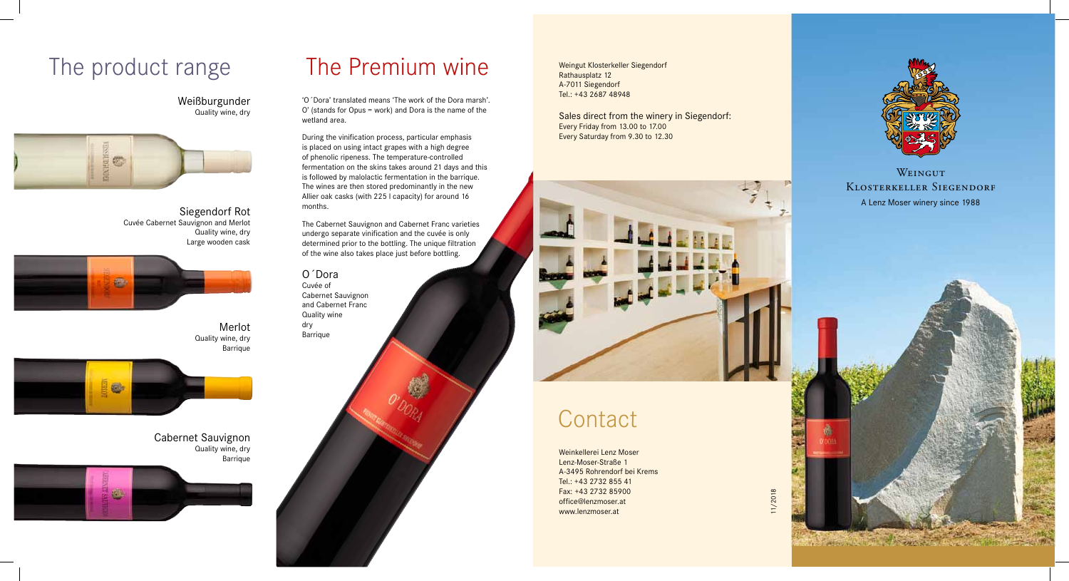# The product range The Premium wine

Weißburgunder Quality wine, dry



Merlot Quality wine, dry Barrique



Cabernet Sauvignon Quality wine, dry Barrique



Siegendorf Rot Cuvée Cabernet Sauvignon and Merlot Quality wine, dry Large wooden cask



'O´Dora' translated means 'The work of the Dora marsh'. O' (stands for Opus = work) and Dora is the name of the wetland area.

During the vinification process, particular emphasis is placed on using intact grapes with a high degree of phenolic ripeness. The temperature-controlled fermentation on the skins takes around 21 days and this is followed by malolactic fermentation in the barrique. The wines are then stored predominantly in the new Allier oak casks (with 225 l capacity) for around 16 months.

The Cabernet Sauvignon and Cabernet Franc varieties undergo separate vinification and the cuvée is only determined prior to the bottling. The unique filtration of the wine also takes place just before bottling.

O´Dora

Cuvée of Cabernet Sauvignon and Cabernet Franc Quality wine dry Barrique

Weingut Klosterkeller Siegendorf Rathausplatz 12 A-7011 Siegendorf Tel.: +43 2687 48948

Sales direct from the winery in Siegendorf: Every Friday from 13.00 to 17.00 Every Saturday from 9.30 to 12.30



# **Contact**

Weinkellerei Lenz Moser Lenz-Moser-Straße 1 A-3495 Rohrendorf bei Krems Tel.: +43 2732 855 41 Fax: +43 2732 85900 office@lenzmoser.at www.lenzmoser.at

A Lenz Moser winery since 1988 **WEINGUT** Klosterkeller Siegendorf



11/2018